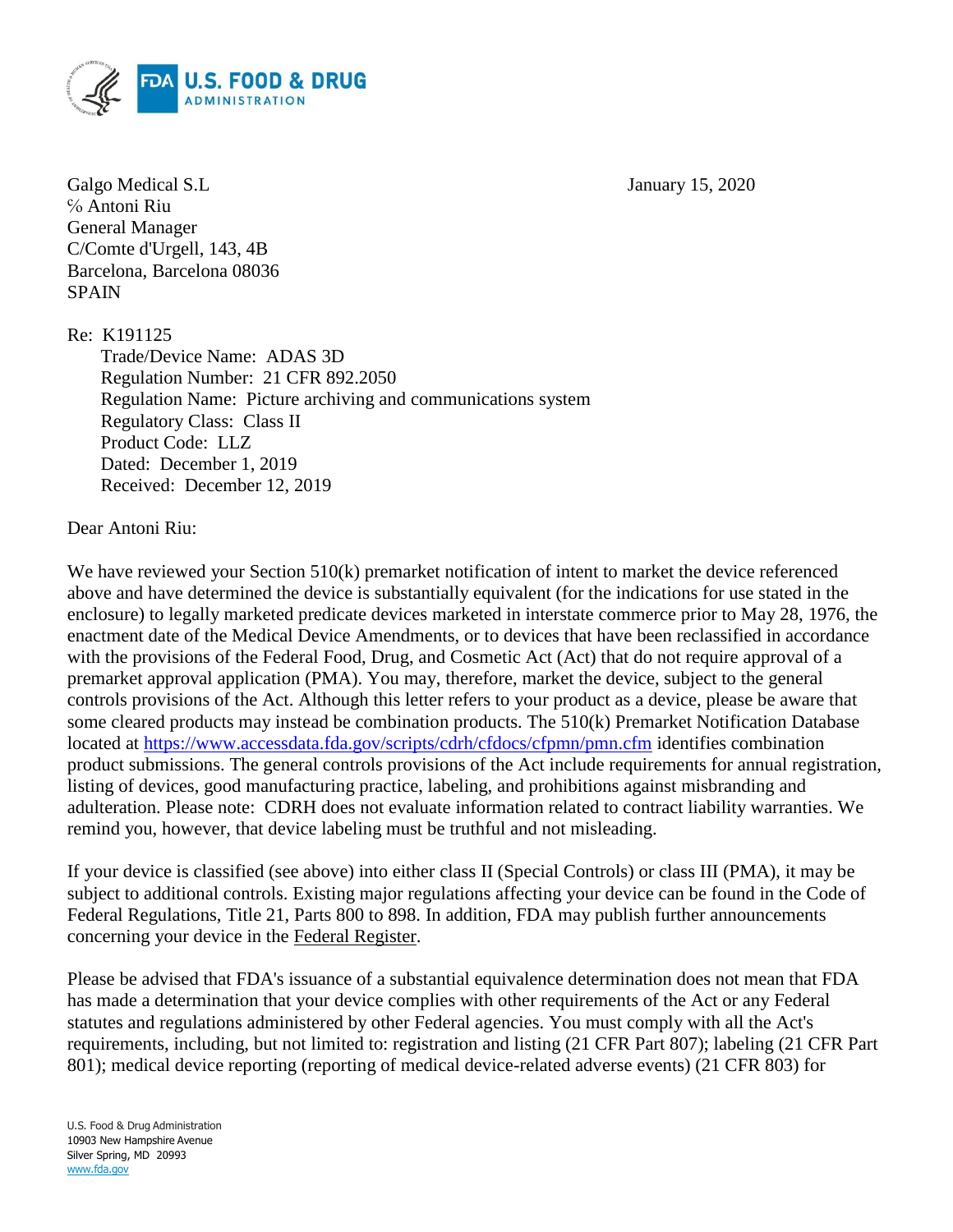

Galgo Medical S.L January 15, 2020 ℅ Antoni Riu General Manager C/Comte d'Urgell, 143, 4B Barcelona, Barcelona 08036 SPAIN

Re: K191125

Trade/Device Name: ADAS 3D Regulation Number: 21 CFR 892.2050 Regulation Name: Picture archiving and communications system Regulatory Class: Class II Product Code: LLZ Dated: December 1, 2019 Received: December 12, 2019

Dear Antoni Riu:

We have reviewed your Section 510(k) premarket notification of intent to market the device referenced above and have determined the device is substantially equivalent (for the indications for use stated in the enclosure) to legally marketed predicate devices marketed in interstate commerce prior to May 28, 1976, the enactment date of the Medical Device Amendments, or to devices that have been reclassified in accordance with the provisions of the Federal Food, Drug, and Cosmetic Act (Act) that do not require approval of a premarket approval application (PMA). You may, therefore, market the device, subject to the general controls provisions of the Act. Although this letter refers to your product as a device, please be aware that some cleared products may instead be combination products. The 510(k) Premarket Notification Database located at<https://www.accessdata.fda.gov/scripts/cdrh/cfdocs/cfpmn/pmn.cfm> identifies combination product submissions. The general controls provisions of the Act include requirements for annual registration, listing of devices, good manufacturing practice, labeling, and prohibitions against misbranding and adulteration. Please note: CDRH does not evaluate information related to contract liability warranties. We remind you, however, that device labeling must be truthful and not misleading.

If your device is classified (see above) into either class II (Special Controls) or class III (PMA), it may be subject to additional controls. Existing major regulations affecting your device can be found in the Code of Federal Regulations, Title 21, Parts 800 to 898. In addition, FDA may publish further announcements concerning your device in the Federal Register.

Please be advised that FDA's issuance of a substantial equivalence determination does not mean that FDA has made a determination that your device complies with other requirements of the Act or any Federal statutes and regulations administered by other Federal agencies. You must comply with all the Act's requirements, including, but not limited to: registration and listing (21 CFR Part 807); labeling (21 CFR Part 801); medical device reporting (reporting of medical device-related adverse events) (21 CFR 803) for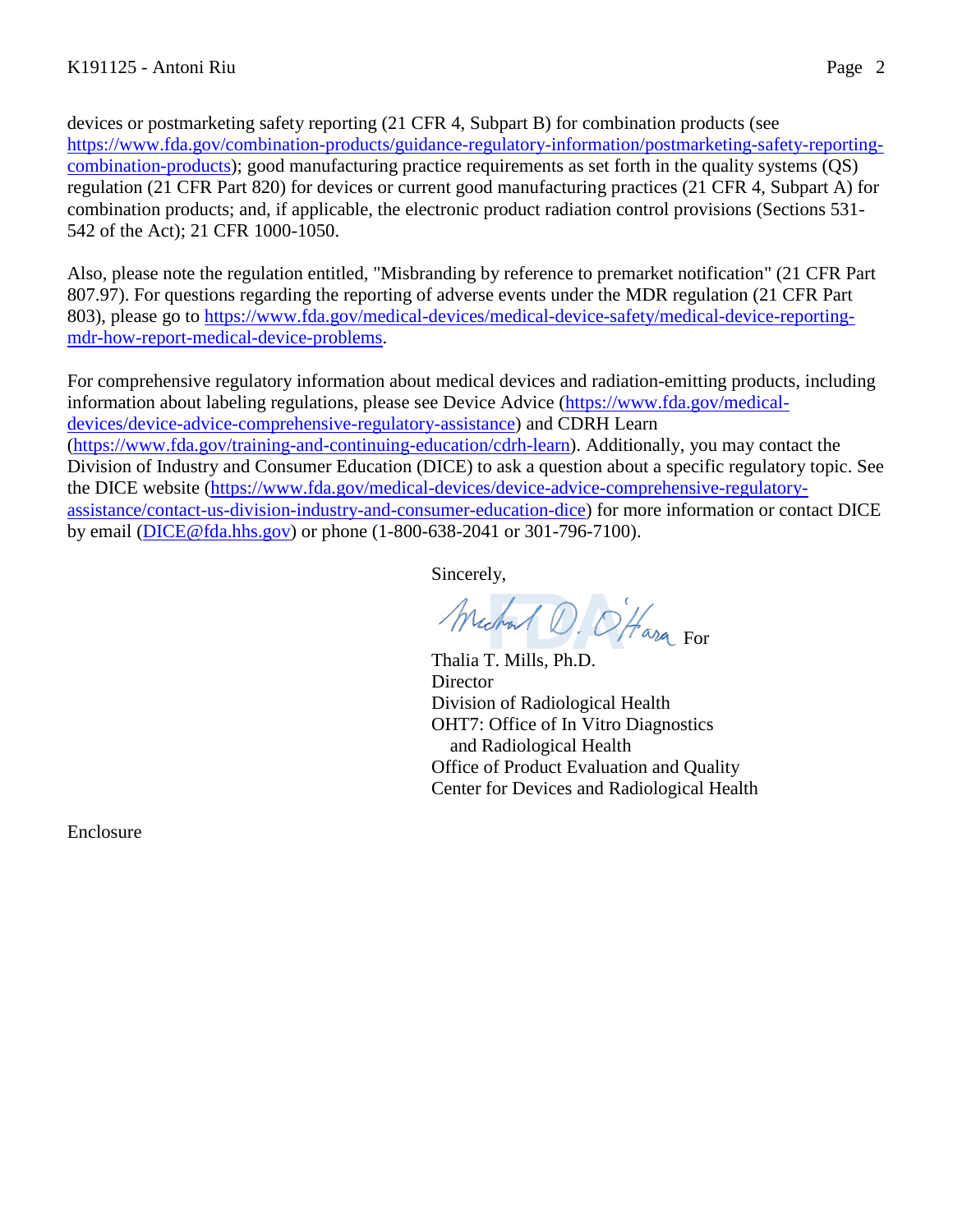devices or postmarketing safety reporting (21 CFR 4, Subpart B) for combination products (see [https://www.fda.gov/combination-products/guidance-regulatory-information/postmarketing-safety-reporting](https://www.fda.gov/combination-products/guidance-regulatory-information/postmarketing-safety-reporting-combination-products)[combination-products\)](https://www.fda.gov/combination-products/guidance-regulatory-information/postmarketing-safety-reporting-combination-products); good manufacturing practice requirements as set forth in the quality systems (QS) regulation (21 CFR Part 820) for devices or current good manufacturing practices (21 CFR 4, Subpart A) for combination products; and, if applicable, the electronic product radiation control provisions (Sections 531- 542 of the Act); 21 CFR 1000-1050.

Also, please note the regulation entitled, "Misbranding by reference to premarket notification" (21 CFR Part 807.97). For questions regarding the reporting of adverse events under the MDR regulation (21 CFR Part 803), please go to [https://www.fda.gov/medical-devices/medical-device-safety/medical-device-reporting](https://www.fda.gov/medical-devices/medical-device-safety/medical-device-reporting-mdr-how-report-medical-device-problems)[mdr-how-report-medical-device-problems.](https://www.fda.gov/medical-devices/medical-device-safety/medical-device-reporting-mdr-how-report-medical-device-problems)

For comprehensive regulatory information about medical devices and radiation-emitting products, including information about labeling regulations, please see Device Advice [\(https://www.fda.gov/medical](https://www.fda.gov/medical-devices/device-advice-comprehensive-regulatory-assistance)[devices/device-advice-comprehensive-regulatory-assistance\)](https://www.fda.gov/medical-devices/device-advice-comprehensive-regulatory-assistance) and CDRH Learn [\(https://www.fda.gov/training-and-continuing-education/cdrh-learn\)](https://www.fda.gov/training-and-continuing-education/cdrh-learn). Additionally, you may contact the Division of Industry and Consumer Education (DICE) to ask a question about a specific regulatory topic. See the DICE website [\(https://www.fda.gov/medical-devices/device-advice-comprehensive-regulatory](https://www.fda.gov/medical-devices/device-advice-comprehensive-regulatory-assistance/contact-us-division-industry-and-consumer-education-dice)[assistance/contact-us-division-industry-and-consumer-education-dice\)](https://www.fda.gov/medical-devices/device-advice-comprehensive-regulatory-assistance/contact-us-division-industry-and-consumer-education-dice) for more information or contact DICE by email [\(DICE@fda.hhs.gov\)](mailto:%20DICE@fda.hhs.gov) or phone (1-800-638-2041 or 301-796-7100).

Sincerely,

Michael D. O'Hara For

Thalia T. Mills, Ph.D. **Director** Division of Radiological Health OHT7: Office of In Vitro Diagnostics and Radiological Health Office of Product Evaluation and Quality Center for Devices and Radiological Health

Enclosure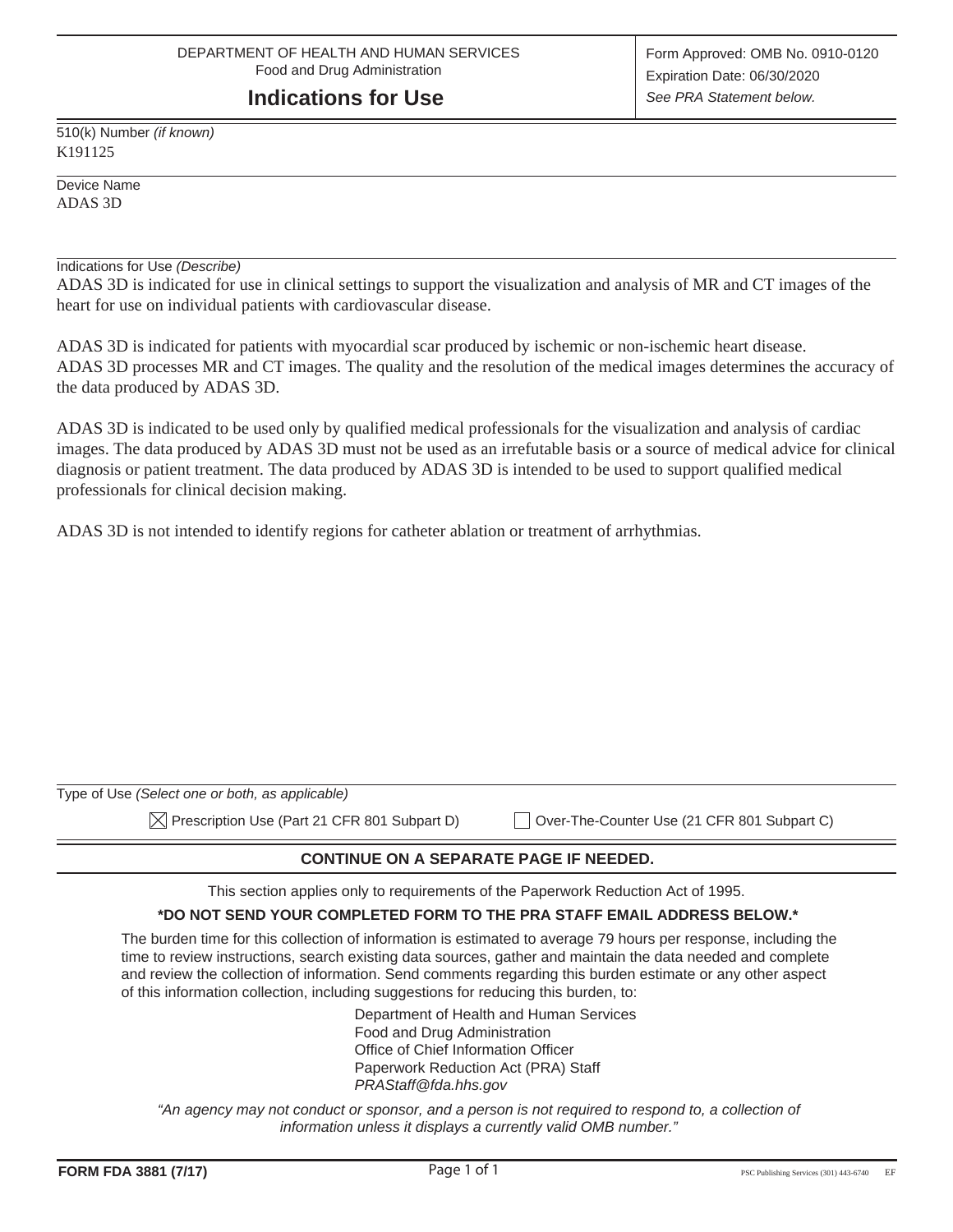#### **Indications for Use**

510(k) Number *(if known)* K191125

Device Name ADAS 3D

Indications for Use *(Describe)*

ADAS 3D is indicated for use in clinical settings to support the visualization and analysis of MR and CT images of the heart for use on individual patients with cardiovascular disease.

ADAS 3D is indicated for patients with myocardial scar produced by ischemic or non-ischemic heart disease. ADAS 3D processes MR and CT images. The quality and the resolution of the medical images determines the accuracy of the data produced by ADAS 3D.

ADAS 3D is indicated to be used only by qualified medical professionals for the visualization and analysis of cardiac images. The data produced by ADAS 3D must not be used as an irrefutable basis or a source of medical advice for clinical diagnosis or patient treatment. The data produced by ADAS 3D is intended to be used to support qualified medical professionals for clinical decision making.

ADAS 3D is not intended to identify regions for catheter ablation or treatment of arrhythmias.

| Type of Use (Select one or both, as applicable)          |                                             |
|----------------------------------------------------------|---------------------------------------------|
| $\boxtimes$ Prescription Use (Part 21 CFR 801 Subpart D) | Over-The-Counter Use (21 CFR 801 Subpart C) |

#### **CONTINUE ON A SEPARATE PAGE IF NEEDED.**

This section applies only to requirements of the Paperwork Reduction Act of 1995.

#### **\*DO NOT SEND YOUR COMPLETED FORM TO THE PRA STAFF EMAIL ADDRESS BELOW.\***

The burden time for this collection of information is estimated to average 79 hours per response, including the time to review instructions, search existing data sources, gather and maintain the data needed and complete and review the collection of information. Send comments regarding this burden estimate or any other aspect of this information collection, including suggestions for reducing this burden, to:

> Department of Health and Human Services Food and Drug Administration Office of Chief Information Officer Paperwork Reduction Act (PRA) Staff *PRAStaff@fda.hhs.gov*

*"An agency may not conduct or sponsor, and a person is not required to respond to, a collection of information unless it displays a currently valid OMB number."*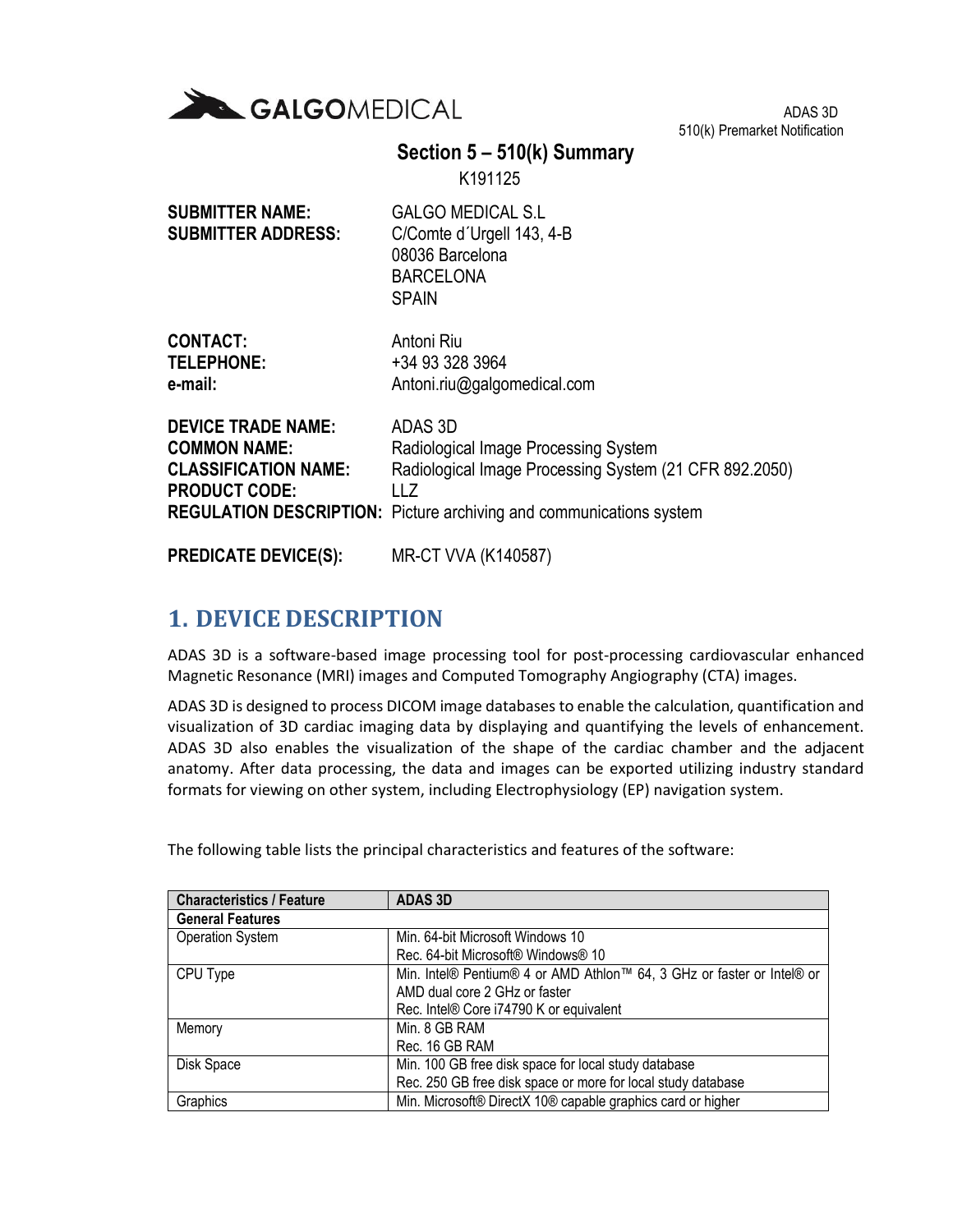

ADAS 3D 510(k) Premarket Notification

### **Section 5 – 510(k) Summary**

K191125

| <b>SUBMITTER NAME:</b><br><b>SUBMITTER ADDRESS:</b> | <b>GALGO MEDICAL S.L</b><br>C/Comte d'Urgell 143, 4-B<br>08036 Barcelona<br><b>BARCELONA</b><br><b>SPAIN</b> |
|-----------------------------------------------------|--------------------------------------------------------------------------------------------------------------|
| CONTACT:                                            | Antoni Riu                                                                                                   |
| <b>TELEPHONE:</b>                                   | +34 93 328 3964                                                                                              |
| e-mail:                                             | Antoni.riu@galgomedical.com                                                                                  |
| <b>DEVICE TRADE NAME:</b>                           | ADAS 3D                                                                                                      |
| <b>COMMON NAME:</b>                                 | Radiological Image Processing System                                                                         |

**COMMON NAME:** Radiological Image Processing System **CLASSIFICATION NAME:** Radiological Image Processing System (21 CFR 892.2050) **PRODUCT CODE:** LLZ **REGULATION DESCRIPTION:** Picture archiving and communications system

#### **PREDICATE DEVICE(S):** MR-CT VVA (K140587)

### **1. DEVICE DESCRIPTION**

ADAS 3D is a software-based image processing tool for post-processing cardiovascular enhanced Magnetic Resonance (MRI) images and Computed Tomography Angiography (CTA) images.

ADAS 3D is designed to process DICOM image databases to enable the calculation, quantification and visualization of 3D cardiac imaging data by displaying and quantifying the levels of enhancement. ADAS 3D also enables the visualization of the shape of the cardiac chamber and the adjacent anatomy. After data processing, the data and images can be exported utilizing industry standard formats for viewing on other system, including Electrophysiology (EP) navigation system.

| <b>Characteristics / Feature</b> | <b>ADAS 3D</b>                                                         |  |  |
|----------------------------------|------------------------------------------------------------------------|--|--|
| <b>General Features</b>          |                                                                        |  |  |
| <b>Operation System</b>          | Min. 64-bit Microsoft Windows 10                                       |  |  |
|                                  | Rec. 64-bit Microsoft® Windows® 10                                     |  |  |
| CPU Type                         | Min. Intel® Pentium® 4 or AMD Athlon™ 64, 3 GHz or faster or Intel® or |  |  |
|                                  | AMD dual core 2 GHz or faster                                          |  |  |
|                                  | Rec. Intel® Core i74790 K or equivalent                                |  |  |
| Memory                           | Min. 8 GB RAM                                                          |  |  |
|                                  | Rec. 16 GB RAM                                                         |  |  |
| Disk Space                       | Min. 100 GB free disk space for local study database                   |  |  |
|                                  | Rec. 250 GB free disk space or more for local study database           |  |  |
| Graphics                         | Min. Microsoft® DirectX 10® capable graphics card or higher            |  |  |

The following table lists the principal characteristics and features of the software: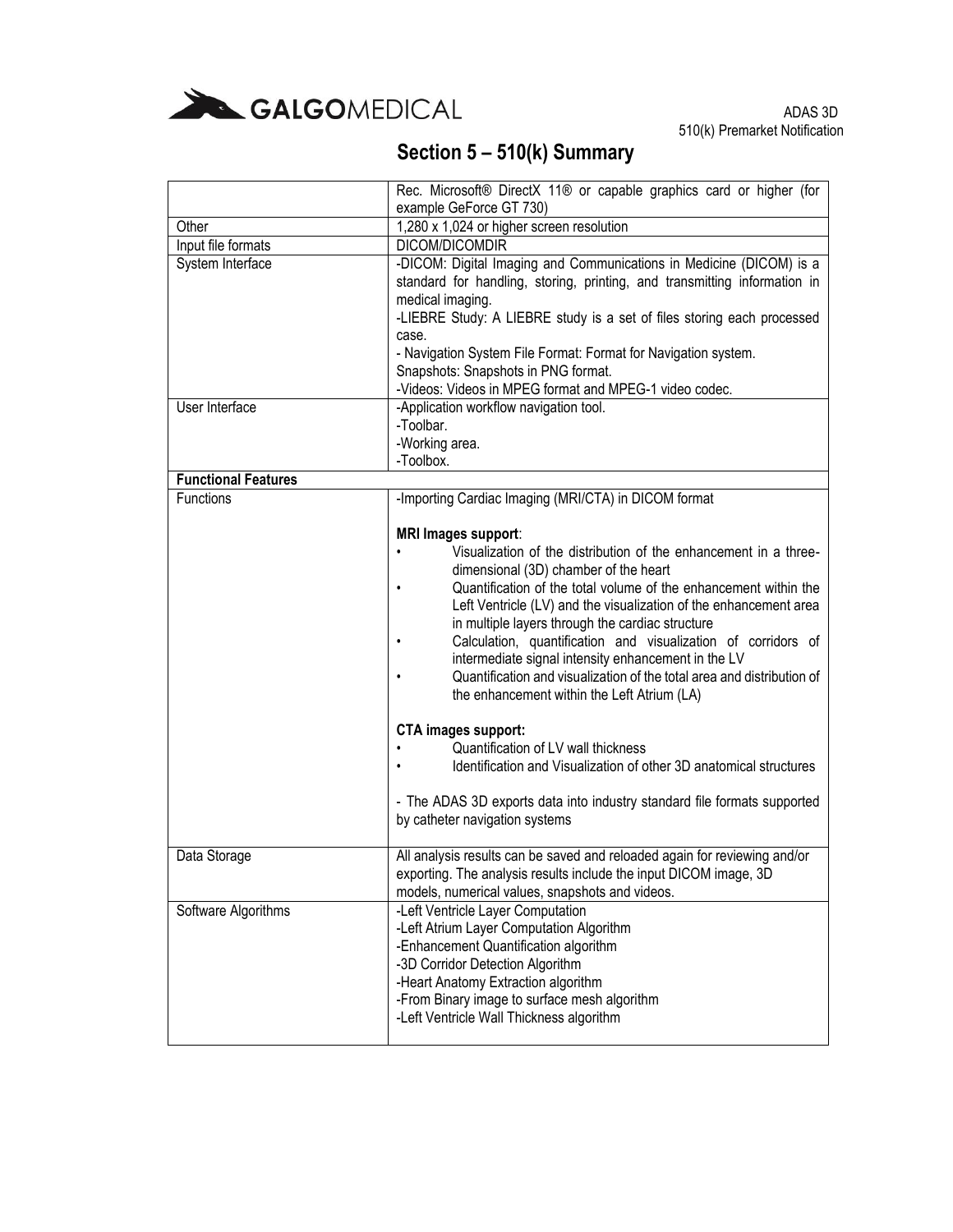

|                            | Rec. Microsoft® DirectX 11® or capable graphics card or higher (for                                                                                                                                                                                                                                                                                                                                                                                                                                                                                                                                                                                                                                                                                                                                                                                  |
|----------------------------|------------------------------------------------------------------------------------------------------------------------------------------------------------------------------------------------------------------------------------------------------------------------------------------------------------------------------------------------------------------------------------------------------------------------------------------------------------------------------------------------------------------------------------------------------------------------------------------------------------------------------------------------------------------------------------------------------------------------------------------------------------------------------------------------------------------------------------------------------|
|                            | example GeForce GT 730)                                                                                                                                                                                                                                                                                                                                                                                                                                                                                                                                                                                                                                                                                                                                                                                                                              |
| Other                      | 1,280 x 1,024 or higher screen resolution                                                                                                                                                                                                                                                                                                                                                                                                                                                                                                                                                                                                                                                                                                                                                                                                            |
| Input file formats         | DICOM/DICOMDIR                                                                                                                                                                                                                                                                                                                                                                                                                                                                                                                                                                                                                                                                                                                                                                                                                                       |
| System Interface           | -DICOM: Digital Imaging and Communications in Medicine (DICOM) is a<br>standard for handling, storing, printing, and transmitting information in<br>medical imaging.<br>-LIEBRE Study: A LIEBRE study is a set of files storing each processed<br>case.<br>- Navigation System File Format: Format for Navigation system.<br>Snapshots: Snapshots in PNG format.<br>-Videos: Videos in MPEG format and MPEG-1 video codec.                                                                                                                                                                                                                                                                                                                                                                                                                           |
| User Interface             | -Application workflow navigation tool.                                                                                                                                                                                                                                                                                                                                                                                                                                                                                                                                                                                                                                                                                                                                                                                                               |
|                            | -Toolbar.<br>-Working area.<br>-Toolbox.                                                                                                                                                                                                                                                                                                                                                                                                                                                                                                                                                                                                                                                                                                                                                                                                             |
| <b>Functional Features</b> |                                                                                                                                                                                                                                                                                                                                                                                                                                                                                                                                                                                                                                                                                                                                                                                                                                                      |
| <b>Functions</b>           | -Importing Cardiac Imaging (MRI/CTA) in DICOM format                                                                                                                                                                                                                                                                                                                                                                                                                                                                                                                                                                                                                                                                                                                                                                                                 |
|                            | <b>MRI Images support:</b><br>Visualization of the distribution of the enhancement in a three-<br>dimensional (3D) chamber of the heart<br>Quantification of the total volume of the enhancement within the<br>Left Ventricle (LV) and the visualization of the enhancement area<br>in multiple layers through the cardiac structure<br>Calculation, quantification and visualization of corridors of<br>$\bullet$<br>intermediate signal intensity enhancement in the LV<br>Quantification and visualization of the total area and distribution of<br>the enhancement within the Left Atrium (LA)<br>CTA images support:<br>Quantification of LV wall thickness<br>Identification and Visualization of other 3D anatomical structures<br>- The ADAS 3D exports data into industry standard file formats supported<br>by catheter navigation systems |
| Data Storage               | All analysis results can be saved and reloaded again for reviewing and/or<br>exporting. The analysis results include the input DICOM image, 3D<br>models, numerical values, snapshots and videos.                                                                                                                                                                                                                                                                                                                                                                                                                                                                                                                                                                                                                                                    |
| Software Algorithms        | -Left Ventricle Layer Computation<br>-Left Atrium Layer Computation Algorithm<br>-Enhancement Quantification algorithm<br>-3D Corridor Detection Algorithm<br>-Heart Anatomy Extraction algorithm<br>-From Binary image to surface mesh algorithm<br>-Left Ventricle Wall Thickness algorithm                                                                                                                                                                                                                                                                                                                                                                                                                                                                                                                                                        |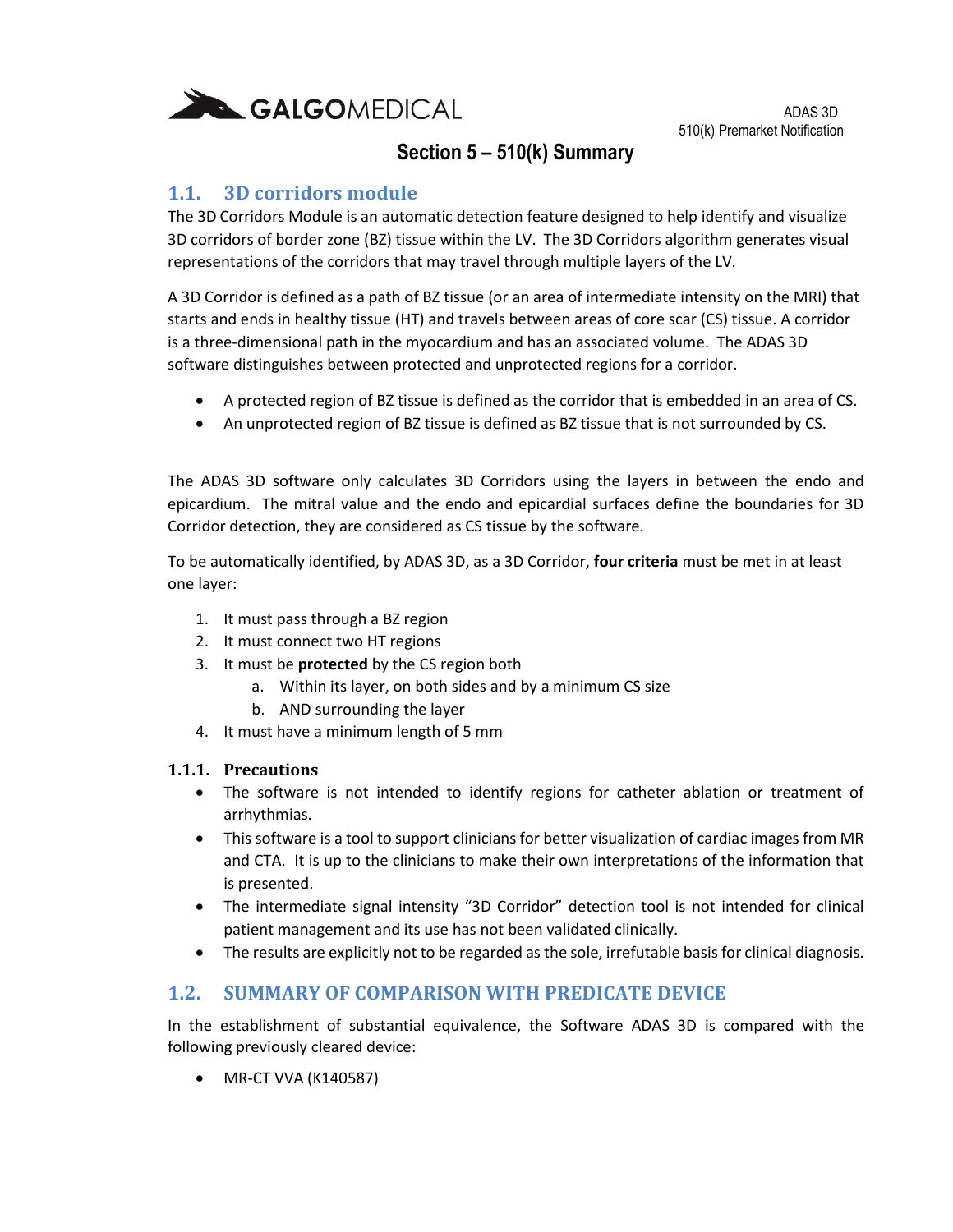

### **1.1. 3D corridors module**

The 3D Corridors Module is an automatic detection feature designed to help identify and visualize 3D corridors of border zone (BZ) tissue within the LV. The 3D Corridors algorithm generates visual representations of the corridors that may travel through multiple layers of the LV.

A 3D Corridor is defined as a path of BZ tissue (or an area of intermediate intensity on the MRI) that starts and ends in healthy tissue (HT) and travels between areas of core scar (CS) tissue. A corridor is a three-dimensional path in the myocardium and has an associated volume. The ADAS 3D software distinguishes between protected and unprotected regions for a corridor.

- A protected region of BZ tissue is defined as the corridor that is embedded in an area of CS.
- An unprotected region of BZ tissue is defined as BZ tissue that is not surrounded by CS.

The ADAS 3D software only calculates 3D Corridors using the layers in between the endo and epicardium. The mitral value and the endo and epicardial surfaces define the boundaries for 3D Corridor detection, they are considered as CS tissue by the software.

To be automatically identified, by ADAS 3D, as a 3D Corridor, **four criteria** must be met in at least one layer:

- 1. It must pass through a BZ region
- 2. It must connect two HT regions
- 3. It must be **protected** by the CS region both
	- a. Within its layer, on both sides and by a minimum CS size
	- b. AND surrounding the layer
- 4. It must have a minimum length of 5 mm

#### **1.1.1. Precautions**

- The software is not intended to identify regions for catheter ablation or treatment of arrhythmias.
- This software is a tool to support clinicians for better visualization of cardiac images from MR and CTA. It is up to the clinicians to make their own interpretations of the information that is presented.
- The intermediate signal intensity "3D Corridor" detection tool is not intended for clinical patient management and its use has not been validated clinically.
- The results are explicitly not to be regarded as the sole, irrefutable basis for clinical diagnosis.

### **1.2. SUMMARY OF COMPARISON WITH PREDICATE DEVICE**

In the establishment of substantial equivalence, the Software ADAS 3D is compared with the following previously cleared device:

MR-CT VVA (K140587)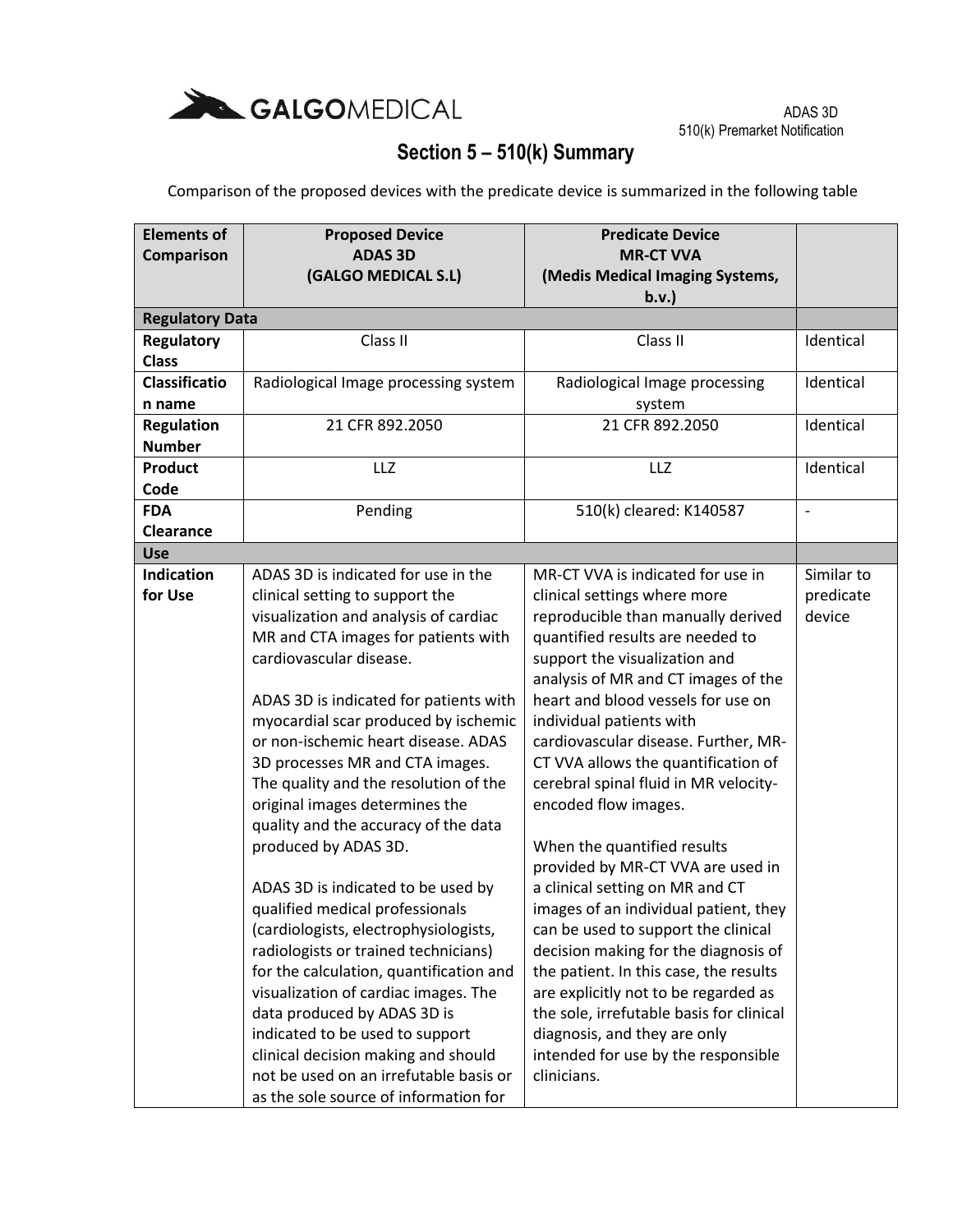

Comparison of the proposed devices with the predicate device is summarized in the following table

| <b>Elements of</b>     | <b>Proposed Device</b>                  | <b>Predicate Device</b>                  |                          |
|------------------------|-----------------------------------------|------------------------------------------|--------------------------|
| Comparison             | <b>ADAS 3D</b>                          | <b>MR-CT VVA</b>                         |                          |
|                        | (GALGO MEDICAL S.L)                     | (Medis Medical Imaging Systems,          |                          |
|                        |                                         | b.v.                                     |                          |
| <b>Regulatory Data</b> |                                         |                                          |                          |
| Regulatory             | Class II                                | Class II                                 | Identical                |
| <b>Class</b>           |                                         |                                          |                          |
| <b>Classificatio</b>   | Radiological Image processing system    | Radiological Image processing            | Identical                |
| n name                 |                                         | system                                   |                          |
| <b>Regulation</b>      | 21 CFR 892.2050                         | 21 CFR 892.2050                          | Identical                |
| <b>Number</b>          |                                         |                                          |                          |
| <b>Product</b>         | <b>LLZ</b>                              | LLZ                                      | Identical                |
| Code                   |                                         |                                          |                          |
| <b>FDA</b>             | Pending                                 | 510(k) cleared: K140587                  | $\overline{\phantom{a}}$ |
| Clearance              |                                         |                                          |                          |
| <b>Use</b>             |                                         |                                          |                          |
| <b>Indication</b>      | ADAS 3D is indicated for use in the     | MR-CT VVA is indicated for use in        | Similar to               |
| for Use                | clinical setting to support the         | clinical settings where more             | predicate                |
|                        | visualization and analysis of cardiac   | reproducible than manually derived       | device                   |
|                        | MR and CTA images for patients with     | quantified results are needed to         |                          |
|                        | cardiovascular disease.                 | support the visualization and            |                          |
|                        |                                         | analysis of MR and CT images of the      |                          |
|                        | ADAS 3D is indicated for patients with  | heart and blood vessels for use on       |                          |
|                        | myocardial scar produced by ischemic    | individual patients with                 |                          |
|                        | or non-ischemic heart disease. ADAS     | cardiovascular disease. Further, MR-     |                          |
|                        | 3D processes MR and CTA images.         | CT VVA allows the quantification of      |                          |
|                        | The quality and the resolution of the   | cerebral spinal fluid in MR velocity-    |                          |
|                        | original images determines the          | encoded flow images.                     |                          |
|                        | quality and the accuracy of the data    |                                          |                          |
|                        | produced by ADAS 3D.                    | When the quantified results              |                          |
|                        |                                         | provided by MR-CT VVA are used in        |                          |
|                        | ADAS 3D is indicated to be used by      | a clinical setting on MR and CT          |                          |
|                        | qualified medical professionals         | images of an individual patient, they    |                          |
|                        | (cardiologists, electrophysiologists,   | can be used to support the clinical      |                          |
|                        | radiologists or trained technicians)    | decision making for the diagnosis of     |                          |
|                        | for the calculation, quantification and | the patient. In this case, the results   |                          |
|                        | visualization of cardiac images. The    | are explicitly not to be regarded as     |                          |
|                        | data produced by ADAS 3D is             | the sole, irrefutable basis for clinical |                          |
|                        | indicated to be used to support         | diagnosis, and they are only             |                          |
|                        | clinical decision making and should     | intended for use by the responsible      |                          |
|                        | not be used on an irrefutable basis or  | clinicians.                              |                          |
|                        | as the sole source of information for   |                                          |                          |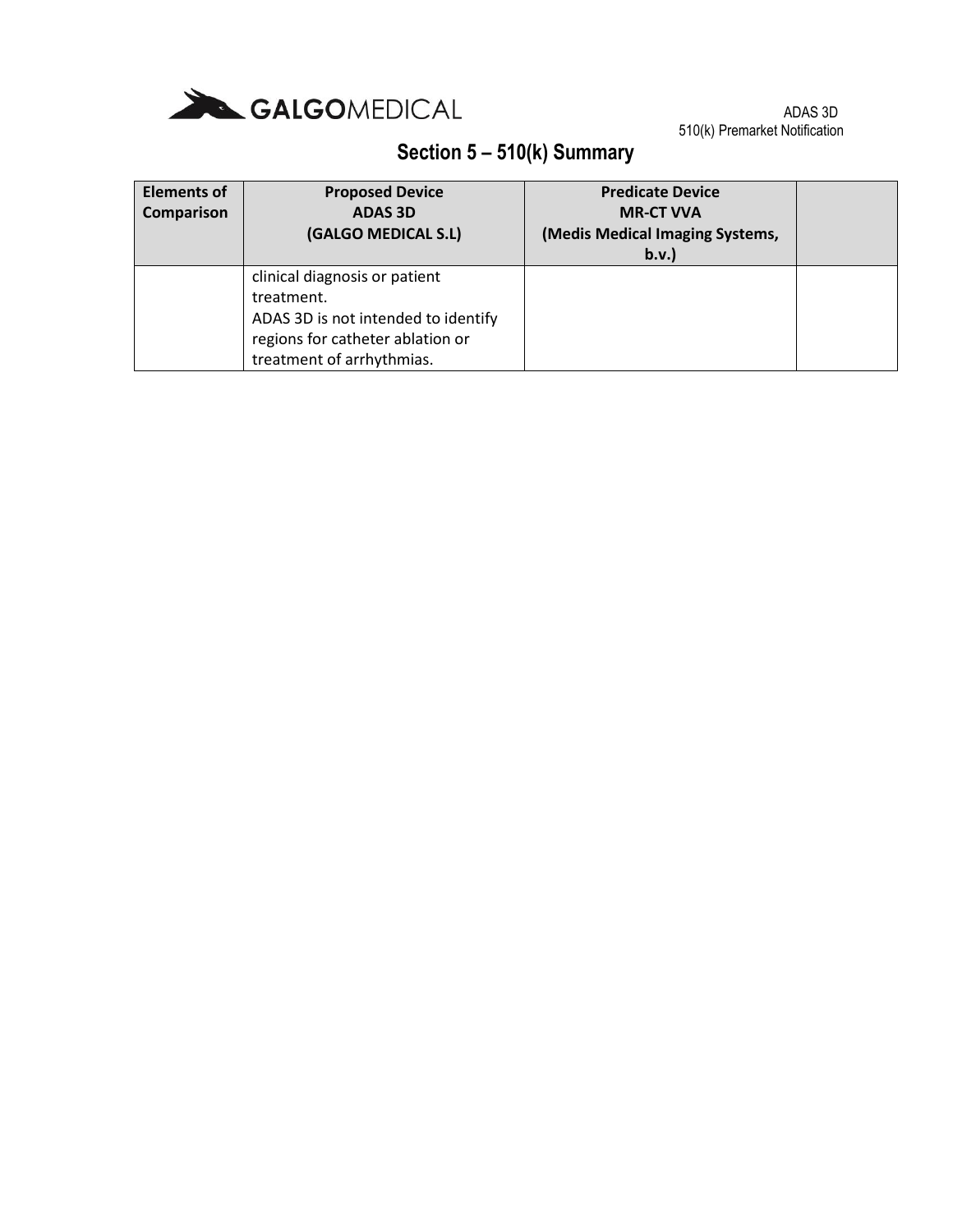

| <b>Elements of</b><br>Comparison | <b>Proposed Device</b><br><b>ADAS 3D</b><br>(GALGO MEDICAL S.L)                                                                                     | <b>Predicate Device</b><br><b>MR-CT VVA</b><br>(Medis Medical Imaging Systems,<br>b.v. |  |
|----------------------------------|-----------------------------------------------------------------------------------------------------------------------------------------------------|----------------------------------------------------------------------------------------|--|
|                                  | clinical diagnosis or patient<br>treatment.<br>ADAS 3D is not intended to identify<br>regions for catheter ablation or<br>treatment of arrhythmias. |                                                                                        |  |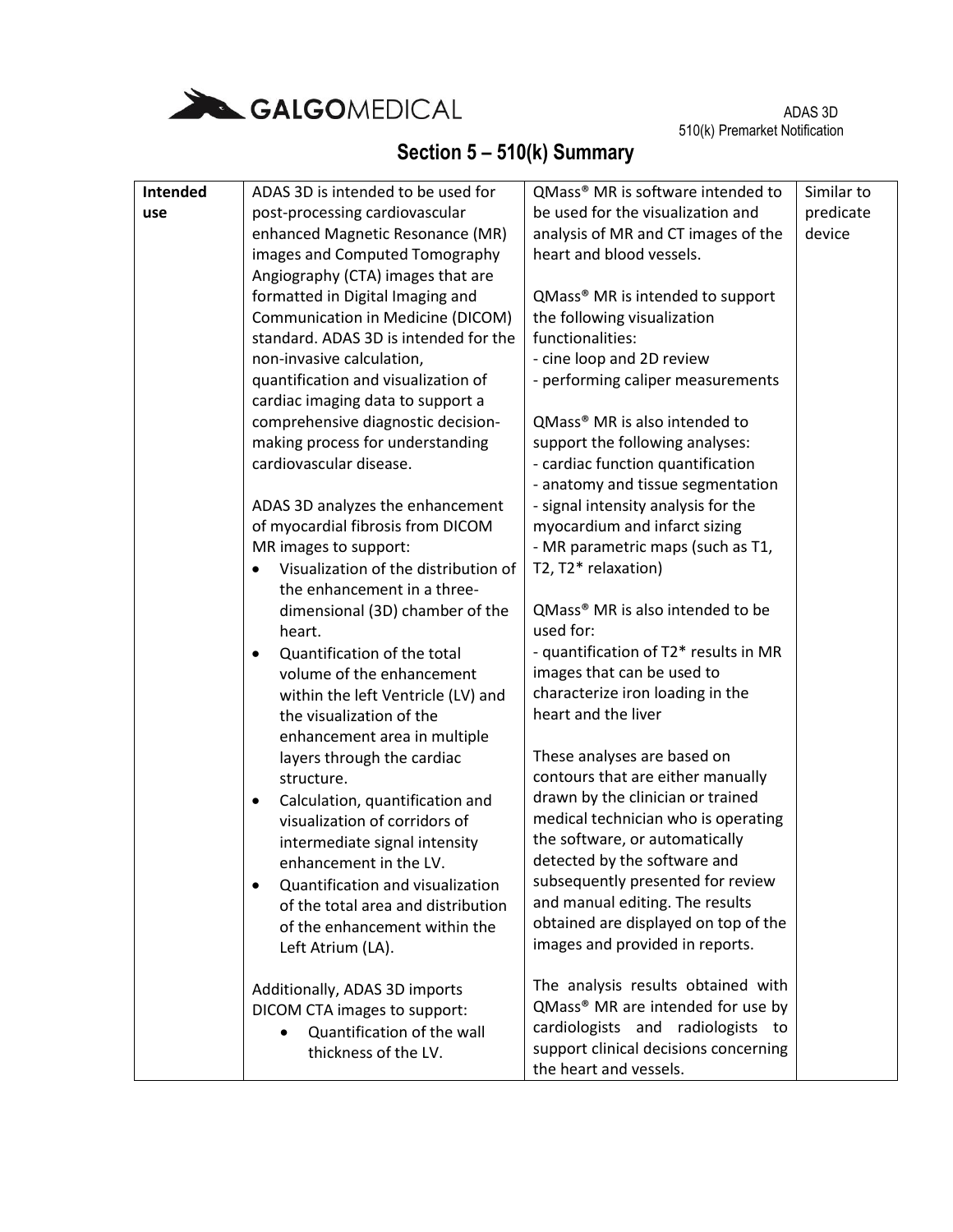

| Intended |           | ADAS 3D is intended to be used for                             | QMass <sup>®</sup> MR is software intended to             | Similar to |
|----------|-----------|----------------------------------------------------------------|-----------------------------------------------------------|------------|
| use      |           | post-processing cardiovascular                                 | be used for the visualization and                         | predicate  |
|          |           | enhanced Magnetic Resonance (MR)                               | analysis of MR and CT images of the                       | device     |
|          |           | images and Computed Tomography                                 | heart and blood vessels.                                  |            |
|          |           | Angiography (CTA) images that are                              |                                                           |            |
|          |           | formatted in Digital Imaging and                               | QMass <sup>®</sup> MR is intended to support              |            |
|          |           | Communication in Medicine (DICOM)                              | the following visualization                               |            |
|          |           | standard. ADAS 3D is intended for the                          | functionalities:                                          |            |
|          |           | non-invasive calculation,                                      | - cine loop and 2D review                                 |            |
|          |           | quantification and visualization of                            | - performing caliper measurements                         |            |
|          |           | cardiac imaging data to support a                              |                                                           |            |
|          |           | comprehensive diagnostic decision-                             | QMass <sup>®</sup> MR is also intended to                 |            |
|          |           | making process for understanding                               | support the following analyses:                           |            |
|          |           | cardiovascular disease.                                        | - cardiac function quantification                         |            |
|          |           |                                                                | - anatomy and tissue segmentation                         |            |
|          |           | ADAS 3D analyzes the enhancement                               | - signal intensity analysis for the                       |            |
|          |           | of myocardial fibrosis from DICOM                              | myocardium and infarct sizing                             |            |
|          |           | MR images to support:                                          | - MR parametric maps (such as T1,                         |            |
|          |           | Visualization of the distribution of                           | T2, T2* relaxation)                                       |            |
|          |           | the enhancement in a three-                                    |                                                           |            |
|          |           | dimensional (3D) chamber of the                                | QMass <sup>®</sup> MR is also intended to be<br>used for: |            |
|          |           | heart.                                                         | - quantification of T2* results in MR                     |            |
|          | $\bullet$ | Quantification of the total                                    | images that can be used to                                |            |
|          |           | volume of the enhancement                                      | characterize iron loading in the                          |            |
|          |           | within the left Ventricle (LV) and<br>the visualization of the | heart and the liver                                       |            |
|          |           | enhancement area in multiple                                   |                                                           |            |
|          |           | layers through the cardiac                                     | These analyses are based on                               |            |
|          |           | structure.                                                     | contours that are either manually                         |            |
|          | $\bullet$ | Calculation, quantification and                                | drawn by the clinician or trained                         |            |
|          |           | visualization of corridors of                                  | medical technician who is operating                       |            |
|          |           | intermediate signal intensity                                  | the software, or automatically                            |            |
|          |           | enhancement in the LV.                                         | detected by the software and                              |            |
|          | $\bullet$ | Quantification and visualization                               | subsequently presented for review                         |            |
|          |           | of the total area and distribution                             | and manual editing. The results                           |            |
|          |           | of the enhancement within the                                  | obtained are displayed on top of the                      |            |
|          |           | Left Atrium (LA).                                              | images and provided in reports.                           |            |
|          |           |                                                                |                                                           |            |
|          |           | Additionally, ADAS 3D imports                                  | The analysis results obtained with                        |            |
|          |           | DICOM CTA images to support:                                   | QMass® MR are intended for use by                         |            |
|          |           | Quantification of the wall                                     | cardiologists and radiologists to                         |            |
|          |           | thickness of the LV.                                           | support clinical decisions concerning                     |            |
|          |           |                                                                | the heart and vessels.                                    |            |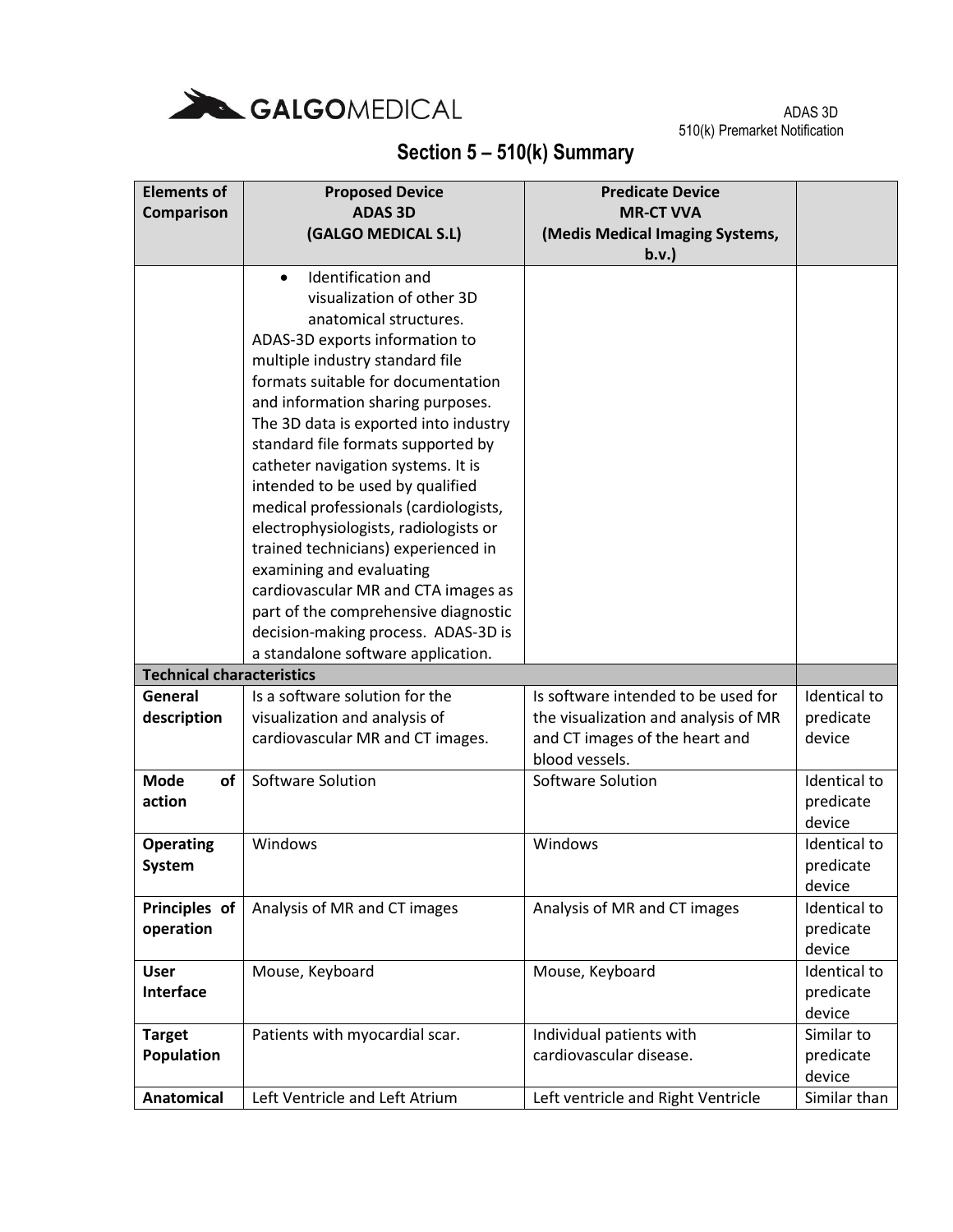

| <b>Elements of</b>               | <b>Proposed Device</b>                                            | <b>Predicate Device</b>              |                     |
|----------------------------------|-------------------------------------------------------------------|--------------------------------------|---------------------|
| Comparison                       | <b>ADAS 3D</b>                                                    | <b>MR-CT VVA</b>                     |                     |
|                                  | (GALGO MEDICAL S.L)                                               | (Medis Medical Imaging Systems,      |                     |
|                                  |                                                                   | b.v.                                 |                     |
|                                  | Identification and<br>$\bullet$                                   |                                      |                     |
|                                  | visualization of other 3D                                         |                                      |                     |
|                                  | anatomical structures.                                            |                                      |                     |
|                                  | ADAS-3D exports information to<br>multiple industry standard file |                                      |                     |
|                                  | formats suitable for documentation                                |                                      |                     |
|                                  | and information sharing purposes.                                 |                                      |                     |
|                                  | The 3D data is exported into industry                             |                                      |                     |
|                                  | standard file formats supported by                                |                                      |                     |
|                                  | catheter navigation systems. It is                                |                                      |                     |
|                                  | intended to be used by qualified                                  |                                      |                     |
|                                  | medical professionals (cardiologists,                             |                                      |                     |
|                                  | electrophysiologists, radiologists or                             |                                      |                     |
|                                  | trained technicians) experienced in                               |                                      |                     |
|                                  | examining and evaluating                                          |                                      |                     |
|                                  | cardiovascular MR and CTA images as                               |                                      |                     |
|                                  | part of the comprehensive diagnostic                              |                                      |                     |
|                                  | decision-making process. ADAS-3D is                               |                                      |                     |
|                                  | a standalone software application.                                |                                      |                     |
| <b>Technical characteristics</b> |                                                                   |                                      |                     |
| General                          | Is a software solution for the                                    | Is software intended to be used for  | Identical to        |
| description                      | visualization and analysis of                                     | the visualization and analysis of MR | predicate           |
|                                  | cardiovascular MR and CT images.                                  | and CT images of the heart and       | device              |
| <b>Mode</b><br><b>of</b>         | Software Solution                                                 | blood vessels.<br>Software Solution  | Identical to        |
| action                           |                                                                   |                                      | predicate           |
|                                  |                                                                   |                                      | device              |
| <b>Operating</b>                 | Windows                                                           | Windows                              | Identical to        |
| System                           |                                                                   |                                      | predicate           |
|                                  |                                                                   |                                      | device              |
| Principles of                    | Analysis of MR and CT images                                      | Analysis of MR and CT images         | Identical to        |
| operation                        |                                                                   |                                      | predicate           |
|                                  |                                                                   |                                      | device              |
| <b>User</b>                      | Mouse, Keyboard                                                   | Mouse, Keyboard                      | <b>Identical to</b> |
| <b>Interface</b>                 |                                                                   |                                      | predicate           |
|                                  |                                                                   |                                      | device              |
| <b>Target</b>                    | Patients with myocardial scar.                                    | Individual patients with             | Similar to          |
| <b>Population</b>                |                                                                   | cardiovascular disease.              | predicate           |
|                                  |                                                                   |                                      | device              |
| Anatomical                       | Left Ventricle and Left Atrium                                    | Left ventricle and Right Ventricle   | Similar than        |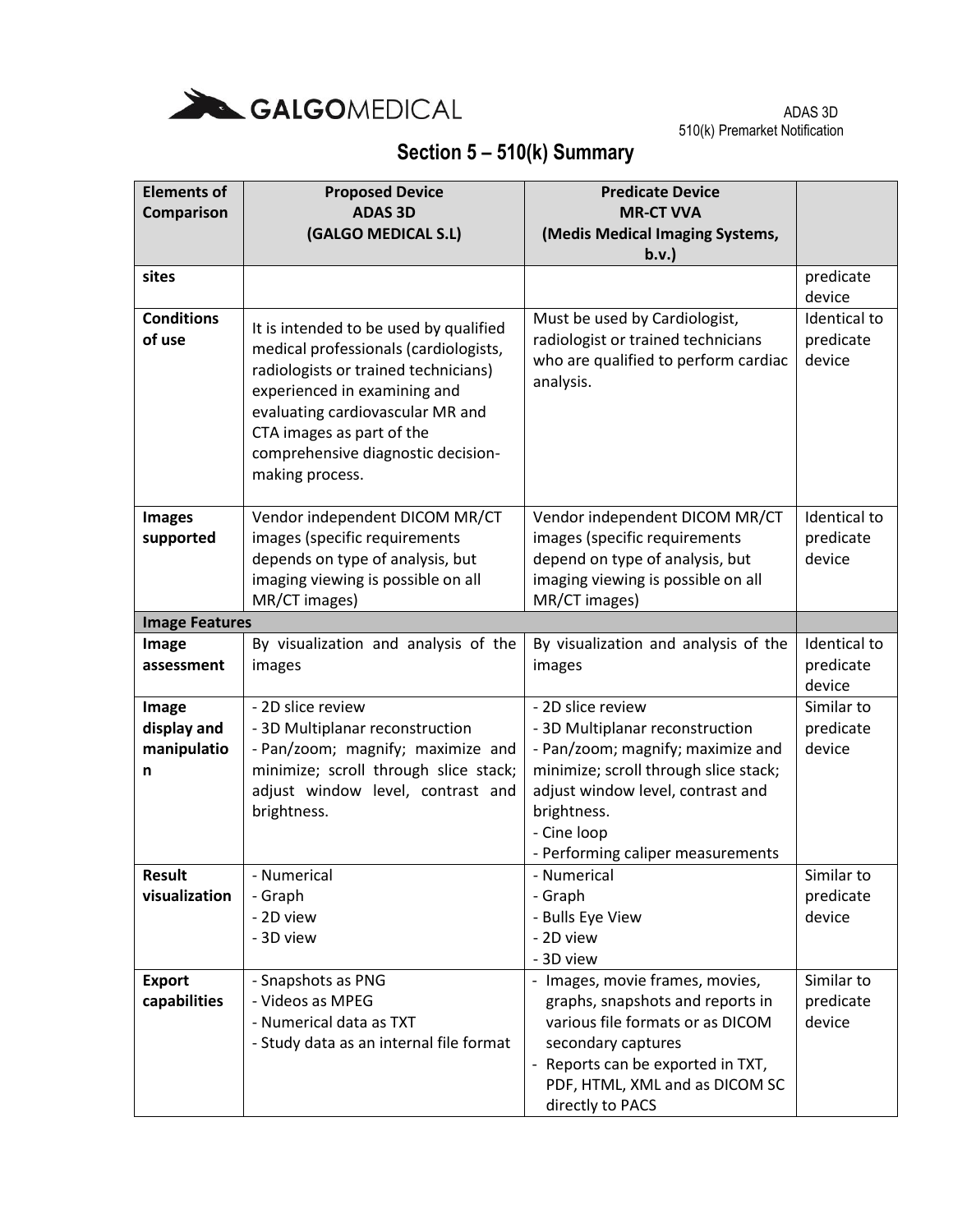

| <b>Elements of</b><br><b>Comparison</b>  | <b>Proposed Device</b><br><b>ADAS 3D</b><br>(GALGO MEDICAL S.L)                                                                                                                                                                                                                   | <b>Predicate Device</b><br><b>MR-CT VVA</b><br>(Medis Medical Imaging Systems,                                                                                                                                                             |                                     |
|------------------------------------------|-----------------------------------------------------------------------------------------------------------------------------------------------------------------------------------------------------------------------------------------------------------------------------------|--------------------------------------------------------------------------------------------------------------------------------------------------------------------------------------------------------------------------------------------|-------------------------------------|
|                                          |                                                                                                                                                                                                                                                                                   | b.v.                                                                                                                                                                                                                                       |                                     |
| sites                                    |                                                                                                                                                                                                                                                                                   |                                                                                                                                                                                                                                            | predicate<br>device                 |
| <b>Conditions</b><br>of use              | It is intended to be used by qualified<br>medical professionals (cardiologists,<br>radiologists or trained technicians)<br>experienced in examining and<br>evaluating cardiovascular MR and<br>CTA images as part of the<br>comprehensive diagnostic decision-<br>making process. | Must be used by Cardiologist,<br>radiologist or trained technicians<br>who are qualified to perform cardiac<br>analysis.                                                                                                                   | Identical to<br>predicate<br>device |
| <b>Images</b><br>supported               | Vendor independent DICOM MR/CT<br>images (specific requirements<br>depends on type of analysis, but<br>imaging viewing is possible on all<br>MR/CT images)                                                                                                                        | Vendor independent DICOM MR/CT<br>images (specific requirements<br>depend on type of analysis, but<br>imaging viewing is possible on all<br>MR/CT images)                                                                                  | Identical to<br>predicate<br>device |
| <b>Image Features</b>                    |                                                                                                                                                                                                                                                                                   |                                                                                                                                                                                                                                            |                                     |
| Image<br>assessment                      | By visualization and analysis of the<br>images                                                                                                                                                                                                                                    | By visualization and analysis of the<br>images                                                                                                                                                                                             | Identical to<br>predicate<br>device |
| Image<br>display and<br>manipulatio<br>n | - 2D slice review<br>- 3D Multiplanar reconstruction<br>- Pan/zoom; magnify; maximize and<br>minimize; scroll through slice stack;<br>adjust window level, contrast and<br>brightness.                                                                                            | - 2D slice review<br>- 3D Multiplanar reconstruction<br>- Pan/zoom; magnify; maximize and<br>minimize; scroll through slice stack;<br>adjust window level, contrast and<br>brightness.<br>- Cine loop<br>- Performing caliper measurements | Similar to<br>predicate<br>device   |
| <b>Result</b><br>visualization           | Numerical<br>- Graph<br>- 2D view<br>- 3D view                                                                                                                                                                                                                                    | - Numerical<br>- Graph<br>- Bulls Eye View<br>- 2D view<br>- 3D view                                                                                                                                                                       | Similar to<br>predicate<br>device   |
| <b>Export</b><br>capabilities            | - Snapshots as PNG<br>- Videos as MPEG<br>- Numerical data as TXT<br>- Study data as an internal file format                                                                                                                                                                      | - Images, movie frames, movies,<br>graphs, snapshots and reports in<br>various file formats or as DICOM<br>secondary captures<br>- Reports can be exported in TXT,<br>PDF, HTML, XML and as DICOM SC<br>directly to PACS                   | Similar to<br>predicate<br>device   |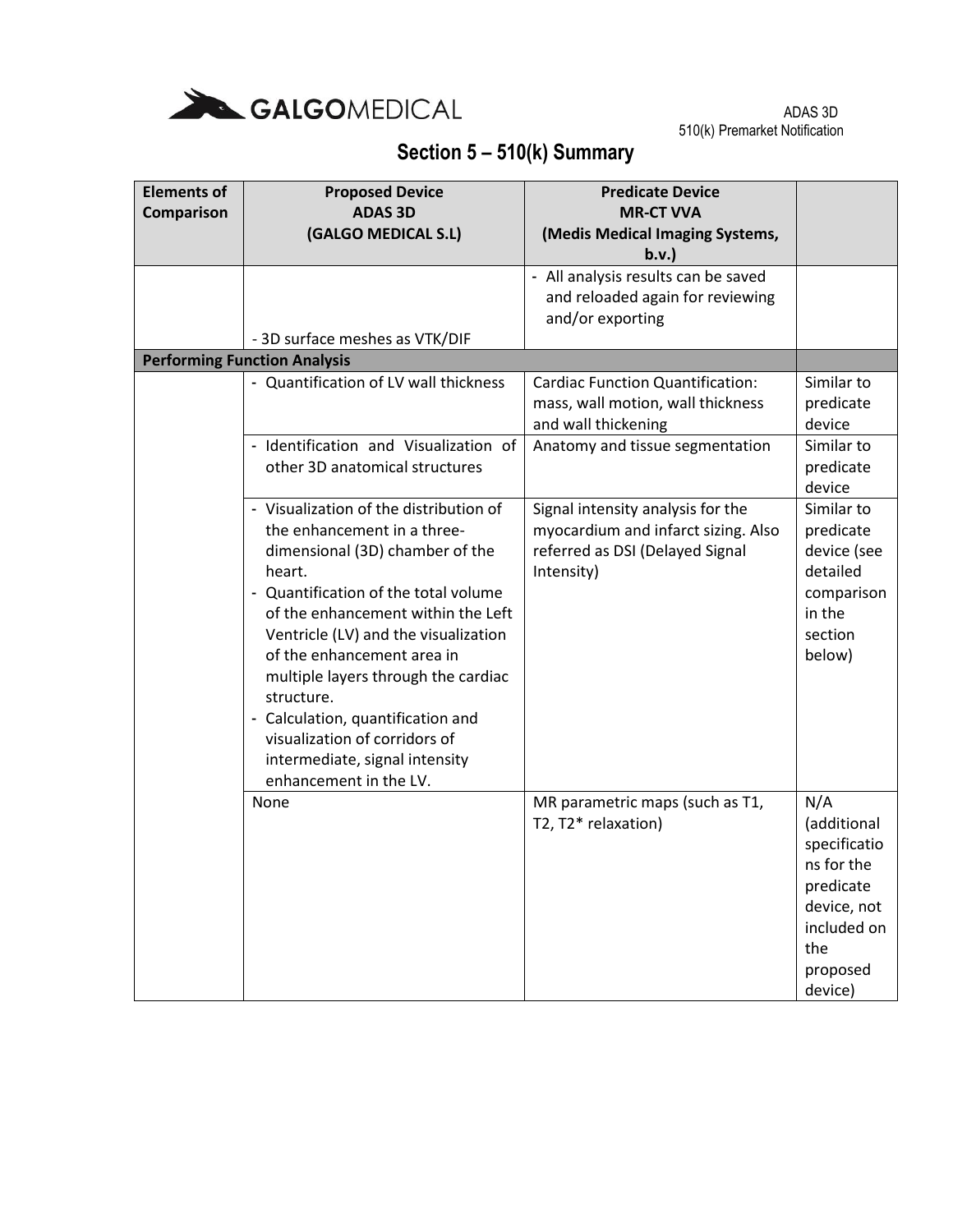

| <b>Elements of</b><br>Comparison | <b>Proposed Device</b><br><b>ADAS 3D</b><br>(GALGO MEDICAL S.L)                                                                                                                                                                                                                                                                                                                                                                                               | <b>Predicate Device</b><br><b>MR-CT VVA</b><br>(Medis Medical Imaging Systems,<br>b.v.                                    |                                                                                                                           |
|----------------------------------|---------------------------------------------------------------------------------------------------------------------------------------------------------------------------------------------------------------------------------------------------------------------------------------------------------------------------------------------------------------------------------------------------------------------------------------------------------------|---------------------------------------------------------------------------------------------------------------------------|---------------------------------------------------------------------------------------------------------------------------|
|                                  |                                                                                                                                                                                                                                                                                                                                                                                                                                                               | - All analysis results can be saved<br>and reloaded again for reviewing<br>and/or exporting                               |                                                                                                                           |
|                                  | - 3D surface meshes as VTK/DIF<br><b>Performing Function Analysis</b>                                                                                                                                                                                                                                                                                                                                                                                         |                                                                                                                           |                                                                                                                           |
|                                  | - Quantification of LV wall thickness                                                                                                                                                                                                                                                                                                                                                                                                                         | <b>Cardiac Function Quantification:</b><br>mass, wall motion, wall thickness<br>and wall thickening                       | Similar to<br>predicate<br>device                                                                                         |
|                                  | - Identification and Visualization of<br>other 3D anatomical structures                                                                                                                                                                                                                                                                                                                                                                                       | Anatomy and tissue segmentation                                                                                           | Similar to<br>predicate<br>device                                                                                         |
|                                  | - Visualization of the distribution of<br>the enhancement in a three-<br>dimensional (3D) chamber of the<br>heart.<br>- Quantification of the total volume<br>of the enhancement within the Left<br>Ventricle (LV) and the visualization<br>of the enhancement area in<br>multiple layers through the cardiac<br>structure.<br>- Calculation, quantification and<br>visualization of corridors of<br>intermediate, signal intensity<br>enhancement in the LV. | Signal intensity analysis for the<br>myocardium and infarct sizing. Also<br>referred as DSI (Delayed Signal<br>Intensity) | Similar to<br>predicate<br>device (see<br>detailed<br>comparison<br>in the<br>section<br>below)                           |
|                                  | None                                                                                                                                                                                                                                                                                                                                                                                                                                                          | MR parametric maps (such as T1,<br>T2, T2* relaxation)                                                                    | N/A<br>(additional<br>specificatio<br>ns for the<br>predicate<br>device, not<br>included on<br>the<br>proposed<br>device) |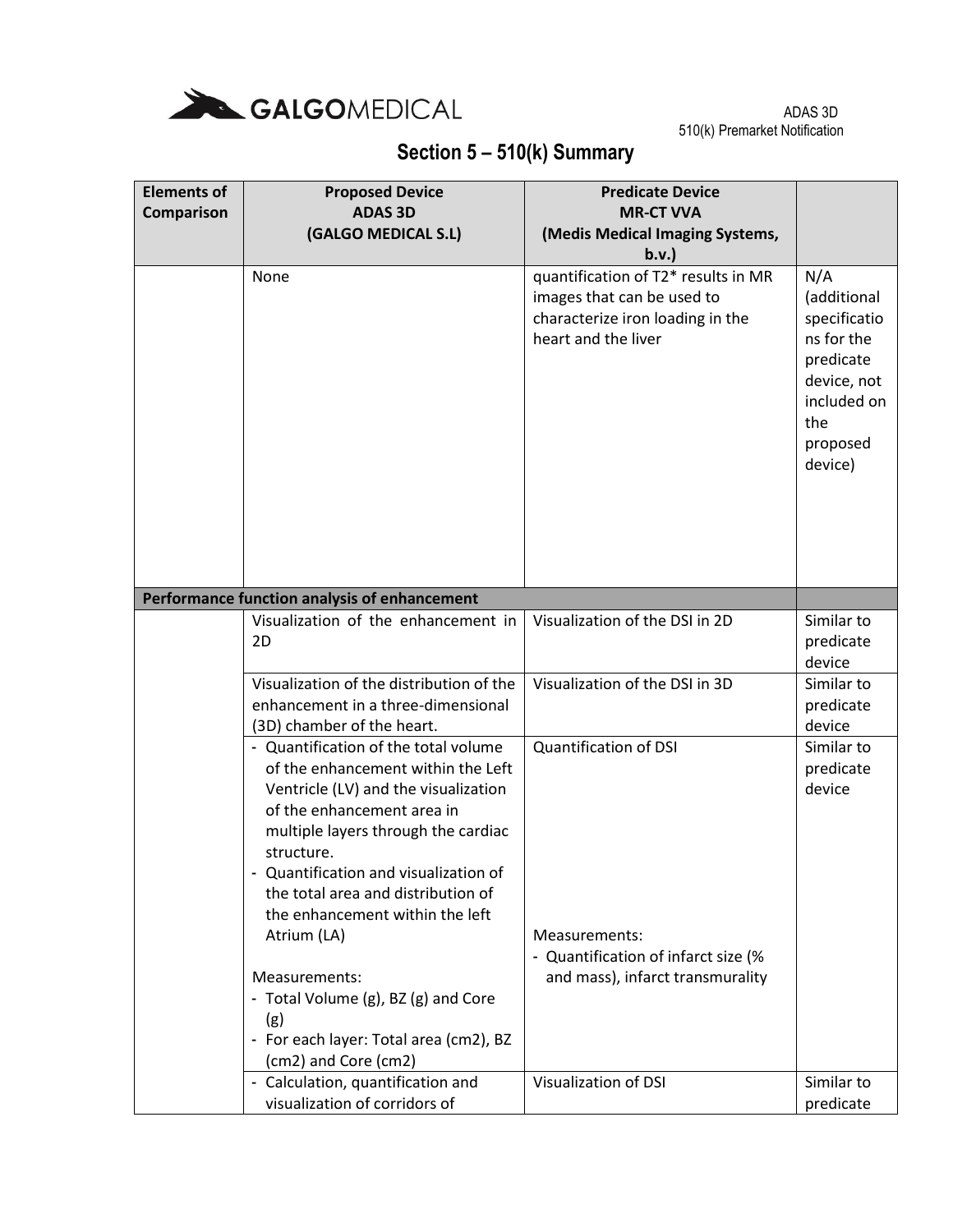

| <b>Elements of</b> | <b>Proposed Device</b>                            | <b>Predicate Device</b>             |                            |
|--------------------|---------------------------------------------------|-------------------------------------|----------------------------|
| Comparison         | <b>ADAS 3D</b>                                    | <b>MR-CT VVA</b>                    |                            |
|                    | (GALGO MEDICAL S.L)                               | (Medis Medical Imaging Systems,     |                            |
|                    |                                                   | b.v.                                |                            |
|                    | None                                              | quantification of T2* results in MR | N/A                        |
|                    |                                                   | images that can be used to          | (additional                |
|                    |                                                   | characterize iron loading in the    | specificatio               |
|                    |                                                   | heart and the liver                 | ns for the                 |
|                    |                                                   |                                     | predicate                  |
|                    |                                                   |                                     | device, not<br>included on |
|                    |                                                   |                                     | the                        |
|                    |                                                   |                                     | proposed                   |
|                    |                                                   |                                     | device)                    |
|                    |                                                   |                                     |                            |
|                    |                                                   |                                     |                            |
|                    |                                                   |                                     |                            |
|                    |                                                   |                                     |                            |
|                    |                                                   |                                     |                            |
|                    | Performance function analysis of enhancement      |                                     |                            |
|                    | Visualization of the enhancement in               | Visualization of the DSI in 2D      | Similar to                 |
|                    | 2D                                                |                                     | predicate                  |
|                    |                                                   |                                     | device                     |
|                    | Visualization of the distribution of the          | Visualization of the DSI in 3D      | Similar to                 |
|                    | enhancement in a three-dimensional                |                                     | predicate                  |
|                    | (3D) chamber of the heart.                        |                                     | device                     |
|                    | - Quantification of the total volume              | <b>Quantification of DSI</b>        | Similar to                 |
|                    | of the enhancement within the Left                |                                     | predicate                  |
|                    | Ventricle (LV) and the visualization              |                                     | device                     |
|                    | of the enhancement area in                        |                                     |                            |
|                    | multiple layers through the cardiac<br>structure. |                                     |                            |
|                    | - Quantification and visualization of             |                                     |                            |
|                    | the total area and distribution of                |                                     |                            |
|                    | the enhancement within the left                   |                                     |                            |
|                    | Atrium (LA)                                       | Measurements:                       |                            |
|                    |                                                   | - Quantification of infarct size (% |                            |
|                    | Measurements:                                     | and mass), infarct transmurality    |                            |
|                    | - Total Volume (g), BZ (g) and Core               |                                     |                            |
|                    | (g)                                               |                                     |                            |
|                    | - For each layer: Total area (cm2), BZ            |                                     |                            |
|                    | (cm2) and Core (cm2)                              |                                     |                            |
|                    | - Calculation, quantification and                 | <b>Visualization of DSI</b>         | Similar to                 |
|                    | visualization of corridors of                     |                                     | predicate                  |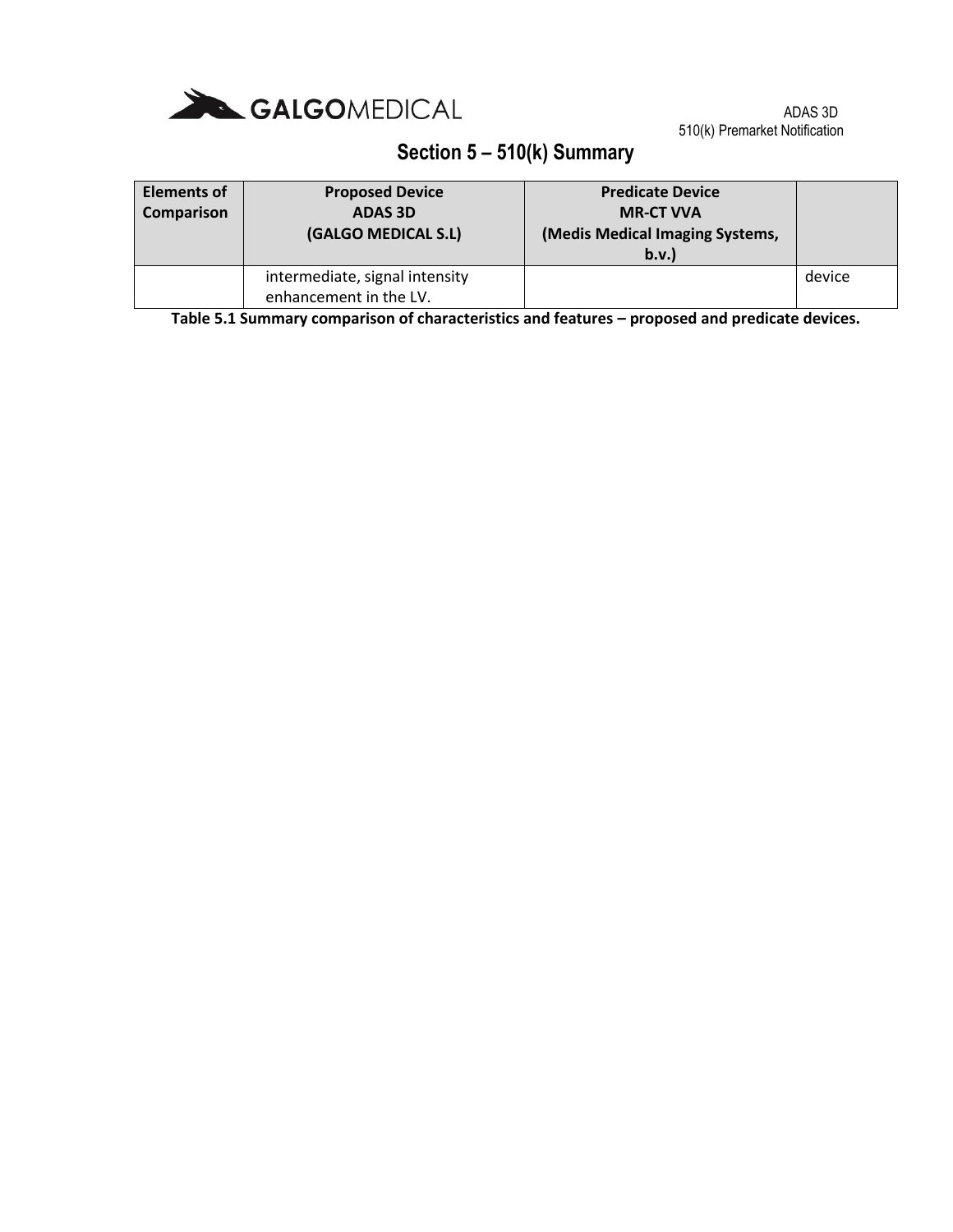

### **Section 5 – 510(k) Summary**

| Elements of<br>Comparison | <b>Proposed Device</b><br><b>ADAS 3D</b><br>(GALGO MEDICAL S.L) | <b>Predicate Device</b><br><b>MR-CT VVA</b><br>(Medis Medical Imaging Systems,<br>b.v. |        |
|---------------------------|-----------------------------------------------------------------|----------------------------------------------------------------------------------------|--------|
|                           | intermediate, signal intensity<br>enhancement in the LV.        |                                                                                        | device |

**Table 5.1 Summary comparison of characteristics and features – proposed and predicate devices.**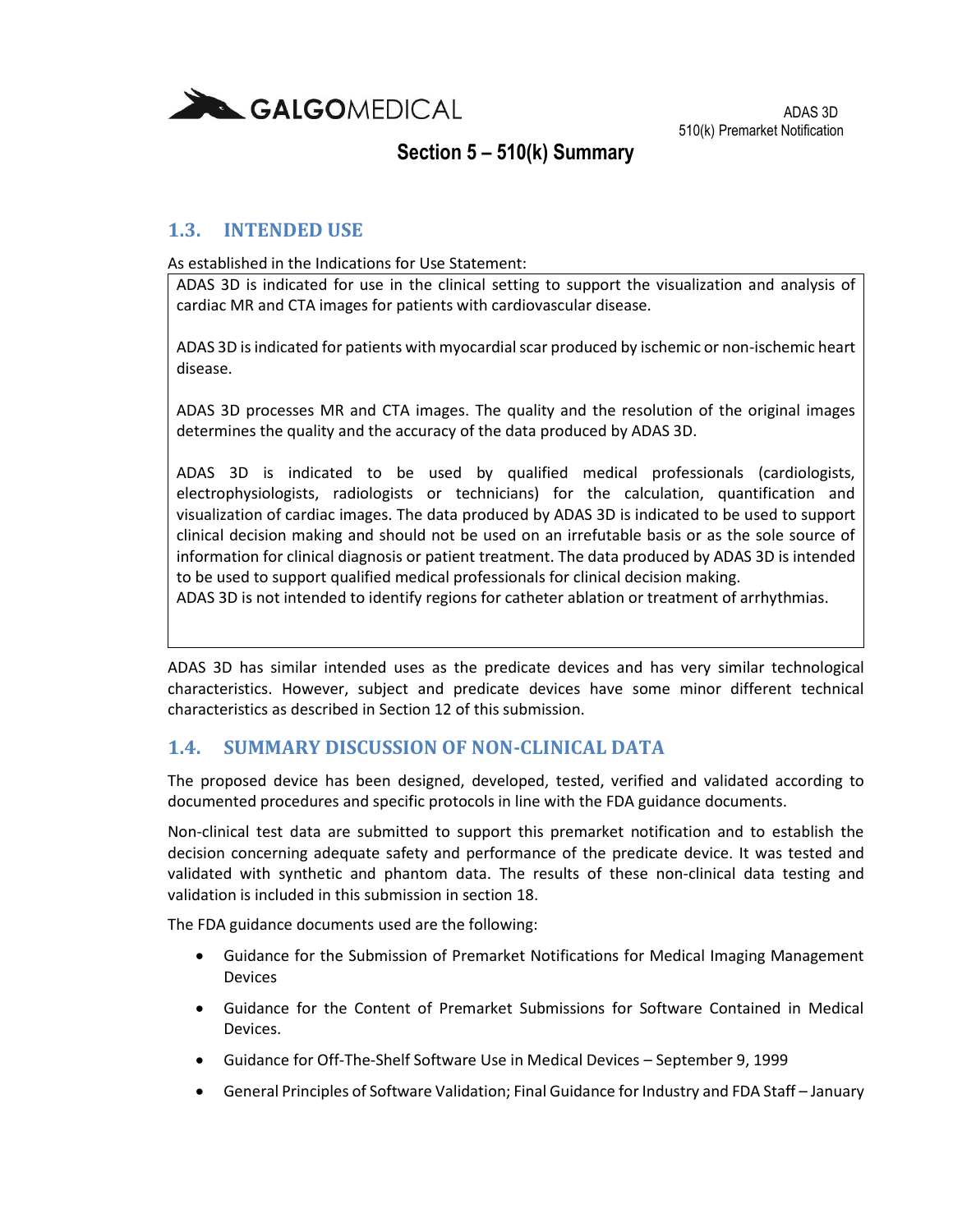

#### **1.3. INTENDED USE**

As established in the Indications for Use Statement:

ADAS 3D is indicated for use in the clinical setting to support the visualization and analysis of cardiac MR and CTA images for patients with cardiovascular disease.

ADAS 3D is indicated for patients with myocardial scar produced by ischemic or non-ischemic heart disease.

ADAS 3D processes MR and CTA images. The quality and the resolution of the original images determines the quality and the accuracy of the data produced by ADAS 3D.

ADAS 3D is indicated to be used by qualified medical professionals (cardiologists, electrophysiologists, radiologists or technicians) for the calculation, quantification and visualization of cardiac images. The data produced by ADAS 3D is indicated to be used to support clinical decision making and should not be used on an irrefutable basis or as the sole source of information for clinical diagnosis or patient treatment. The data produced by ADAS 3D is intended to be used to support qualified medical professionals for clinical decision making.

ADAS 3D is not intended to identify regions for catheter ablation or treatment of arrhythmias.

ADAS 3D has similar intended uses as the predicate devices and has very similar technological characteristics. However, subject and predicate devices have some minor different technical characteristics as described in Section 12 of this submission.

#### **1.4. SUMMARY DISCUSSION OF NON-CLINICAL DATA**

The proposed device has been designed, developed, tested, verified and validated according to documented procedures and specific protocols in line with the FDA guidance documents.

Non-clinical test data are submitted to support this premarket notification and to establish the decision concerning adequate safety and performance of the predicate device. It was tested and validated with synthetic and phantom data. The results of these non-clinical data testing and validation is included in this submission in section 18.

The FDA guidance documents used are the following:

- Guidance for the Submission of Premarket Notifications for Medical Imaging Management Devices
- Guidance for the Content of Premarket Submissions for Software Contained in Medical Devices.
- Guidance for Off-The-Shelf Software Use in Medical Devices September 9, 1999
- General Principles of Software Validation; Final Guidance for Industry and FDA Staff January